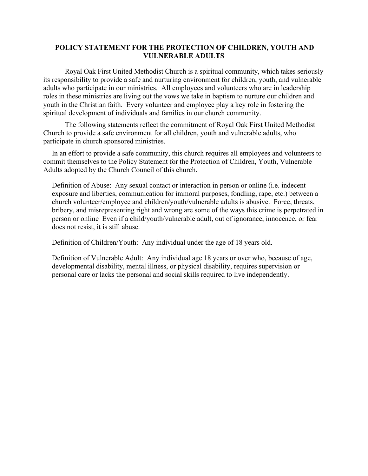### POLICY STATEMENT FOR THE PROTECTION OF CHILDREN, YOUTH AND VULNERABLE ADULTS

Royal Oak First United Methodist Church is a spiritual community, which takes seriously its responsibility to provide a safe and nurturing environment for children, youth, and vulnerable adults who participate in our ministries. All employees and volunteers who are in leadership roles in these ministries are living out the vows we take in baptism to nurture our children and youth in the Christian faith. Every volunteer and employee play a key role in fostering the spiritual development of individuals and families in our church community.

The following statements reflect the commitment of Royal Oak First United Methodist Church to provide a safe environment for all children, youth and vulnerable adults, who participate in church sponsored ministries.

In an effort to provide a safe community, this church requires all employees and volunteers to commit themselves to the Policy Statement for the Protection of Children, Youth, Vulnerable Adults adopted by the Church Council of this church.

Definition of Abuse: Any sexual contact or interaction in person or online (i.e. indecent exposure and liberties, communication for immoral purposes, fondling, rape, etc.) between a church volunteer/employee and children/youth/vulnerable adults is abusive. Force, threats, bribery, and misrepresenting right and wrong are some of the ways this crime is perpetrated in person or online Even if a child/youth/vulnerable adult, out of ignorance, innocence, or fear does not resist, it is still abuse.

Definition of Children/Youth: Any individual under the age of 18 years old.

Definition of Vulnerable Adult: Any individual age 18 years or over who, because of age, developmental disability, mental illness, or physical disability, requires supervision or personal care or lacks the personal and social skills required to live independently.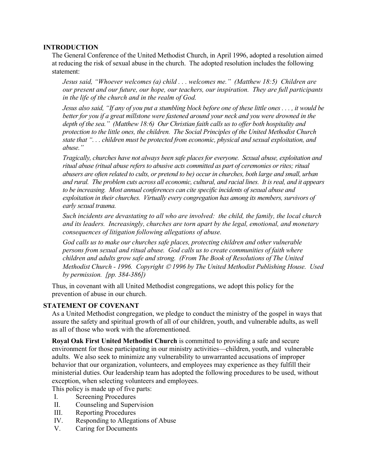#### INTRODUCTION

The General Conference of the United Methodist Church, in April 1996, adopted a resolution aimed at reducing the risk of sexual abuse in the church. The adopted resolution includes the following statement:

Jesus said, "Whoever welcomes (a) child . . . welcomes me." (Matthew 18:5) Children are our present and our future, our hope, our teachers, our inspiration. They are full participants in the life of the church and in the realm of God.

Jesus also said, "If any of you put a stumbling block before one of these little ones . . . , it would be better for you if a great millstone were fastened around your neck and you were drowned in the depth of the sea." (Matthew 18:6) Our Christian faith calls us to offer both hospitality and protection to the little ones, the children. The Social Principles of the United Methodist Church state that ". . . children must be protected from economic, physical and sexual exploitation, and abuse."

Tragically, churches have not always been safe places for everyone. Sexual abuse, exploitation and ritual abuse (ritual abuse refers to abusive acts committed as part of ceremonies or rites; ritual abusers are often related to cults, or pretend to be) occur in churches, both large and small, urban and rural. The problem cuts across all economic, cultural, and racial lines. It is real, and it appears to be increasing. Most annual conferences can cite specific incidents of sexual abuse and exploitation in their churches. Virtually every congregation has among its members, survivors of early sexual trauma.

Such incidents are devastating to all who are involved: the child, the family, the local church and its leaders. Increasingly, churches are torn apart by the legal, emotional, and monetary consequences of litigation following allegations of abuse.

God calls us to make our churches safe places, protecting children and other vulnerable persons from sexual and ritual abuse. God calls us to create communities of faith where children and adults grow safe and strong. (From The Book of Resolutions of The United Methodist Church - 1996. Copyright  $\odot$  1996 by The United Methodist Publishing House. Used by permission. [pp. 384-386])

Thus, in covenant with all United Methodist congregations, we adopt this policy for the prevention of abuse in our church.

### STATEMENT OF COVENANT

As a United Methodist congregation, we pledge to conduct the ministry of the gospel in ways that assure the safety and spiritual growth of all of our children, youth, and vulnerable adults, as well as all of those who work with the aforementioned.

Royal Oak First United Methodist Church is committed to providing a safe and secure environment for those participating in our ministry activities—children, youth, and vulnerable adults. We also seek to minimize any vulnerability to unwarranted accusations of improper behavior that our organization, volunteers, and employees may experience as they fulfill their ministerial duties. Our leadership team has adopted the following procedures to be used, without exception, when selecting volunteers and employees.

This policy is made up of five parts:

- I. Screening Procedures
- II. Counseling and Supervision
- III. Reporting Procedures
- IV. Responding to Allegations of Abuse
- V. Caring for Documents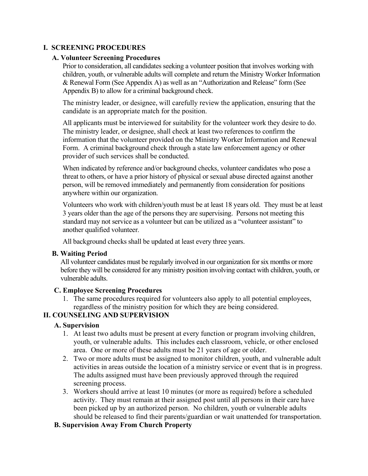## I. SCREENING PROCEDURES

### A. Volunteer Screening Procedures

Prior to consideration, all candidates seeking a volunteer position that involves working with children, youth, or vulnerable adults will complete and return the Ministry Worker Information & Renewal Form (See Appendix A) as well as an "Authorization and Release" form (See Appendix B) to allow for a criminal background check.

The ministry leader, or designee, will carefully review the application, ensuring that the candidate is an appropriate match for the position.

All applicants must be interviewed for suitability for the volunteer work they desire to do. The ministry leader, or designee, shall check at least two references to confirm the information that the volunteer provided on the Ministry Worker Information and Renewal Form. A criminal background check through a state law enforcement agency or other provider of such services shall be conducted.

When indicated by reference and/or background checks, volunteer candidates who pose a threat to others, or have a prior history of physical or sexual abuse directed against another person, will be removed immediately and permanently from consideration for positions anywhere within our organization.

Volunteers who work with children/youth must be at least 18 years old. They must be at least 3 years older than the age of the persons they are supervising. Persons not meeting this standard may not service as a volunteer but can be utilized as a "volunteer assistant" to another qualified volunteer.

All background checks shall be updated at least every three years.

### B. Waiting Period

All volunteer candidates must be regularly involved in our organization for six months or more before they will be considered for any ministry position involving contact with children, youth, or vulnerable adults.

### C. Employee Screening Procedures

1. The same procedures required for volunteers also apply to all potential employees, regardless of the ministry position for which they are being considered.

## II. COUNSELING AND SUPERVISION

### A. Supervision

- 1. At least two adults must be present at every function or program involving children, youth, or vulnerable adults. This includes each classroom, vehicle, or other enclosed area. One or more of these adults must be 21 years of age or older.
- 2. Two or more adults must be assigned to monitor children, youth, and vulnerable adult activities in areas outside the location of a ministry service or event that is in progress. The adults assigned must have been previously approved through the required screening process.
- 3. Workers should arrive at least 10 minutes (or more as required) before a scheduled activity. They must remain at their assigned post until all persons in their care have been picked up by an authorized person. No children, youth or vulnerable adults should be released to find their parents/guardian or wait unattended for transportation.

### B. Supervision Away From Church Property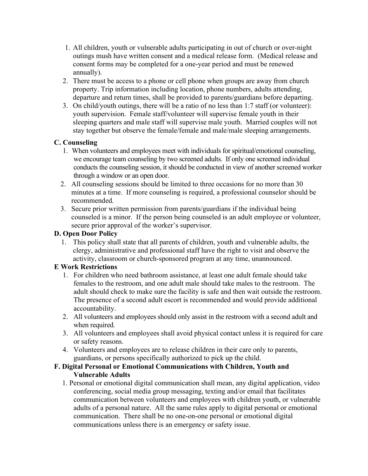- 1. All children, youth or vulnerable adults participating in out of church or over-night outings mush have written consent and a medical release form. (Medical release and consent forms may be completed for a one-year period and must be renewed annually).
- 2. There must be access to a phone or cell phone when groups are away from church property. Trip information including location, phone numbers, adults attending, departure and return times, shall be provided to parents/guardians before departing.
- 3. On child/youth outings, there will be a ratio of no less than 1:7 staff (or volunteer): youth supervision. Female staff/volunteer will supervise female youth in their sleeping quarters and male staff will supervise male youth. Married couples will not stay together but observe the female/female and male/male sleeping arrangements.

## C. Counseling

- 1. When volunteers and employees meet with individuals for spiritual/emotional counseling, we encourage team counseling by two screened adults. If only one screened individual conducts the counseling session, it should be conducted in view of another screened worker through a window or an open door.
- 2. All counseling sessions should be limited to three occasions for no more than 30 minutes at a time. If more counseling is required, a professional counselor should be recommended.
- 3. Secure prior written permission from parents/guardians if the individual being counseled is a minor. If the person being counseled is an adult employee or volunteer, secure prior approval of the worker's supervisor.

## D. Open Door Policy

1. This policy shall state that all parents of children, youth and vulnerable adults, the clergy, administrative and professional staff have the right to visit and observe the activity, classroom or church-sponsored program at any time, unannounced.

## E Work Restrictions

- 1. For children who need bathroom assistance, at least one adult female should take females to the restroom, and one adult male should take males to the restroom. The adult should check to make sure the facility is safe and then wait outside the restroom. The presence of a second adult escort is recommended and would provide additional accountability.
- 2. All volunteers and employees should only assist in the restroom with a second adult and when required.
- 3. All volunteers and employees shall avoid physical contact unless it is required for care or safety reasons.
- 4. Volunteers and employees are to release children in their care only to parents, guardians, or persons specifically authorized to pick up the child.

## F. Digital Personal or Emotional Communications with Children, Youth and Vulnerable Adults

1. Personal or emotional digital communication shall mean, any digital application, video conferencing, social media group messaging, texting and/or email that facilitates communication between volunteers and employees with children youth, or vulnerable adults of a personal nature. All the same rules apply to digital personal or emotional communication. There shall be no one-on-one personal or emotional digital communications unless there is an emergency or safety issue.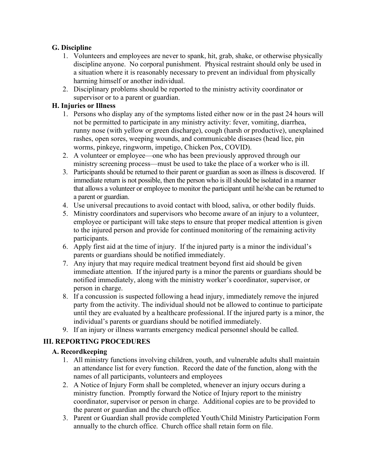# G. Discipline

- 1. Volunteers and employees are never to spank, hit, grab, shake, or otherwise physically discipline anyone. No corporal punishment. Physical restraint should only be used in a situation where it is reasonably necessary to prevent an individual from physically harming himself or another individual.
- 2. Disciplinary problems should be reported to the ministry activity coordinator or supervisor or to a parent or guardian.

## H. Injuries or Illness

- 1. Persons who display any of the symptoms listed either now or in the past 24 hours will not be permitted to participate in any ministry activity: fever, vomiting, diarrhea, runny nose (with yellow or green discharge), cough (harsh or productive), unexplained rashes, open sores, weeping wounds, and communicable diseases (head lice, pin worms, pinkeye, ringworm, impetigo, Chicken Pox, COVID).
- 2. A volunteer or employee—one who has been previously approved through our ministry screening process—must be used to take the place of a worker who is ill.
- 3. Participants should be returned to their parent or guardian as soon as illness is discovered. If immediate return is not possible, then the person who is ill should be isolated in a manner that allows a volunteer or employee to monitor the participant until he/she can be returned to a parent or guardian.
- 4. Use universal precautions to avoid contact with blood, saliva, or other bodily fluids.
- 5. Ministry coordinators and supervisors who become aware of an injury to a volunteer, employee or participant will take steps to ensure that proper medical attention is given to the injured person and provide for continued monitoring of the remaining activity participants.
- 6. Apply first aid at the time of injury. If the injured party is a minor the individual's parents or guardians should be notified immediately.
- 7. Any injury that may require medical treatment beyond first aid should be given immediate attention. If the injured party is a minor the parents or guardians should be notified immediately, along with the ministry worker's coordinator, supervisor, or person in charge.
- 8. If a concussion is suspected following a head injury, immediately remove the injured party from the activity. The individual should not be allowed to continue to participate until they are evaluated by a healthcare professional. If the injured party is a minor, the individual's parents or guardians should be notified immediately.
- 9. If an injury or illness warrants emergency medical personnel should be called.

# III. REPORTING PROCEDURES

# A. Recordkeeping

- 1. All ministry functions involving children, youth, and vulnerable adults shall maintain an attendance list for every function. Record the date of the function, along with the names of all participants, volunteers and employees
- 2. A Notice of Injury Form shall be completed, whenever an injury occurs during a ministry function. Promptly forward the Notice of Injury report to the ministry coordinator, supervisor or person in charge. Additional copies are to be provided to the parent or guardian and the church office.
- 3. Parent or Guardian shall provide completed Youth/Child Ministry Participation Form annually to the church office. Church office shall retain form on file.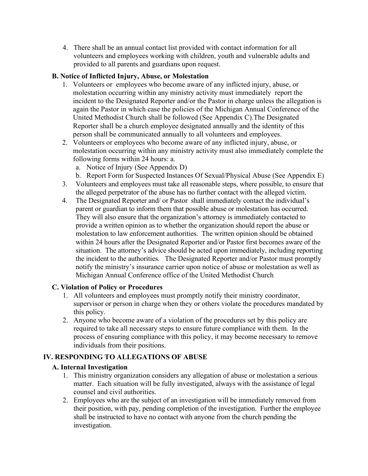4. There shall be an annual contact list provided with contact information for all volunteers and employees working with children, youth and vulnerable adults and provided to all parents and guardians upon request.

# B. Notice of Inflicted Injury, Abuse, or Molestation

- 1. Volunteers or employees who become aware of any inflicted injury, abuse, or molestation occurring within any ministry activity must immediately report the incident to the Designated Reporter and/or the Pastor in charge unless the allegation is again the Pastor in which case the policies of the Michigan Annual Conference of the United Methodist Church shall be followed (See Appendix C).The Designated Reporter shall be a church employee designated annually and the identity of this person shall be communicated annually to all volunteers and employees.
- 2. Volunteers or employees who become aware of any inflicted injury, abuse, or molestation occurring within any ministry activity must also immediately complete the following forms within 24 hours: a.
	- a. Notice of Injury (See Appendix D)
	- b. Report Form for Suspected Instances Of Sexual/Physical Abuse (See Appendix E)
- 3. Volunteers and employees must take all reasonable steps, where possible, to ensure that the alleged perpetrator of the abuse has no further contact with the alleged victim.
- 4. The Designated Reporter and/ or Pastor shall immediately contact the individual's parent or guardian to inform them that possible abuse or molestation has occurred. They will also ensure that the organization's attorney is immediately contacted to provide a written opinion as to whether the organization should report the abuse or molestation to law enforcement authorities. The written opinion should be obtained within 24 hours after the Designated Reporter and/or Pastor first becomes aware of the situation. The attorney's advice should be acted upon immediately, including reporting the incident to the authorities. The Designated Reporter and/or Pastor must promptly notify the ministry's insurance carrier upon notice of abuse or molestation as well as Michigan Annual Conference office of the United Methodist Church

## C. Violation of Policy or Procedures

- 1. All volunteers and employees must promptly notify their ministry coordinator, supervisor or person in charge when they or others violate the procedures mandated by this policy.
- 2. Anyone who become aware of a violation of the procedures set by this policy are required to take all necessary steps to ensure future compliance with them. In the process of ensuring compliance with this policy, it may become necessary to remove individuals from their positions.

# IV. RESPONDING TO ALLEGATIONS OF ABUSE

# A. Internal Investigation

- 1. This ministry organization considers any allegation of abuse or molestation a serious matter. Each situation will be fully investigated, always with the assistance of legal counsel and civil authorities.
- 2. Employees who are the subject of an investigation will be immediately removed from their position, with pay, pending completion of the investigation. Further the employee shall be instructed to have no contact with anyone from the church pending the investigation.